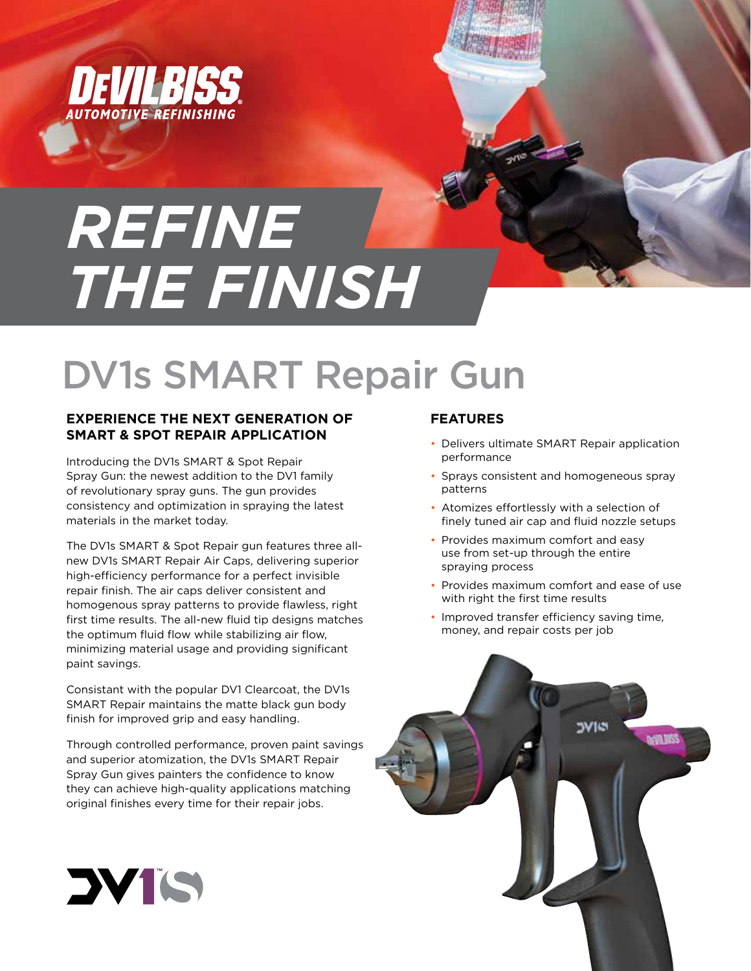

# *REFINE THE FINISH*

# DV1s SMART Repair Gun

#### **EXPERIENCE THE NEXT GENERATION OF SMART & SPOT REPAIR APPLICATION**

Introducing the DV1s SMART & Spot Repair Spray Gun: the newest addition to the DV1 family of revolutionary spray guns. The gun provides consistency and optimization in spraying the latest materials in the market today.

The DV1s SMART & Spot Repair gun features three allnew DV1s SMART Repair Air Caps, delivering superior high-efficiency performance for a perfect invisible repair finish. The air caps deliver consistent and homogenous spray patterns to provide flawless, right first time results. The all-new fluid tip designs matches the optimum fluid flow while stabilizing air flow, minimizing material usage and providing significant paint savings.

Consistant with the popular DV1 Clearcoat, the DV1s SMART Repair maintains the matte black gun body finish for improved grip and easy handling.

Through controlled performance, proven paint savings and superior atomization, the DV1s SMART Repair Spray Gun gives painters the confidence to know they can achieve high-quality applications matching original finishes every time for their repair jobs.

### **FEATURES**

- Delivers ultimate SMART Repair application performance
- Sprays consistent and homogeneous spray patterns
- Atomizes effortlessly with a selection of finely tuned air cap and fluid nozzle setups
- Provides maximum comfort and easy use from set-up through the entire spraying process
- Provides maximum comfort and ease of use with right the first time results
- Improved transfer efficiency saving time, money, and repair costs per job